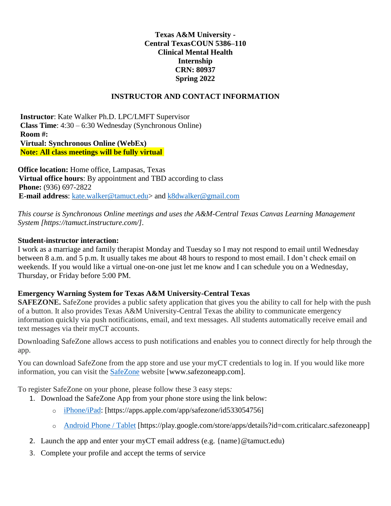### **Texas A&M University - Central TexasCOUN 5386–110 Clinical Mental Health Internship CRN: 80937 Spring 2022**

#### **INSTRUCTOR AND CONTACT INFORMATION**

**Instructor**: Kate Walker Ph.D. LPC/LMFT Supervisor **Class Time**: 4:30 – 6:30 Wednesday (Synchronous Online) **Room #: Virtual: Synchronous Online (WebEx) Note: All class meetings will be fully virtual** 

**Office location:** Home office, Lampasas, Texas **Virtual office hours**: By appointment and TBD according to class **Phone:** (936) 697-2822 **E-mail address**: [kate.walker@tamuct.edu>](mailto:kate.walker@tamuct.edu) and [k8dwalker@gmail.com](mailto:k8dwalker@gmail.com)

*This course is Synchronous Online meetings and uses the A&M-Central Texas Canvas Learning Management System [https://tamuct.instructure.com/].*

#### **Student-instructor interaction:**

I work as a marriage and family therapist Monday and Tuesday so I may not respond to email until Wednesday between 8 a.m. and 5 p.m. It usually takes me about 48 hours to respond to most email. I don't check email on weekends. If you would like a virtual one-on-one just let me know and I can schedule you on a Wednesday, Thursday, or Friday before 5:00 PM.

#### **Emergency Warning System for Texas A&M University-Central Texas**

**SAFEZONE.** SafeZone provides a public safety application that gives you the ability to call for help with the push of a button. It also provides Texas A&M University-Central Texas the ability to communicate emergency information quickly via push notifications, email, and text messages. All students automatically receive email and text messages via their myCT accounts.

Downloading SafeZone allows access to push notifications and enables you to connect directly for help through the app.

You can download SafeZone from the app store and use your myCT credentials to log in. If you would like more information, you can visit the [SafeZone](http://www.safezoneapp.com/) website [www.safezoneapp.com].

To register SafeZone on your phone, please follow these 3 easy steps*:*

- 1. Download the SafeZone App from your phone store using the link below:
	- o [iPhone/iPad:](https://apps.apple.com/app/safezone/id533054756) [https://apps.apple.com/app/safezone/id533054756]
	- o [Android Phone / Tablet](https://play.google.com/store/apps/details?id=com.criticalarc.safezoneapp) [https://play.google.com/store/apps/details?id=com.criticalarc.safezoneapp]
- 2. Launch the app and enter your myCT email address (e.g. {name}  $@t$  amuct.edu)
- 3. Complete your profile and accept the terms of service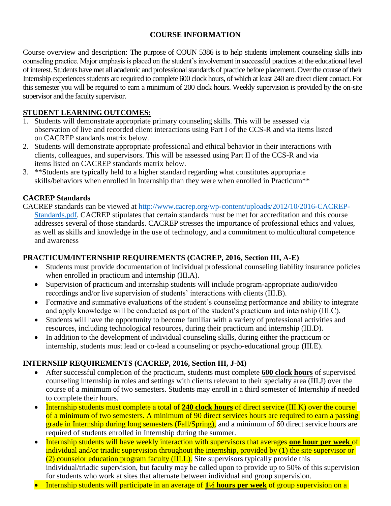# **COURSE INFORMATION**

Course overview and description: The purpose of COUN 5386 is to help students implement counseling skills into counseling practice. Major emphasis is placed on the student's involvement in successful practices at the educational level of interest. Students have met all academic and professional standards of practice before placement. Over the course of their Internship experiences students are required to complete 600 clock hours, of which at least 240 are direct client contact. For this semester you will be required to earn a minimum of 200 clock hours. Weekly supervision is provided by the on-site supervisor and the faculty supervisor.

# **STUDENT LEARNING OUTCOMES:**

- 1. Students will demonstrate appropriate primary counseling skills. This will be assessed via observation of live and recorded client interactions using Part I of the CCS-R and via items listed on CACREP standards matrix below.
- 2. Students will demonstrate appropriate professional and ethical behavior in their interactions with clients, colleagues, and supervisors. This will be assessed using Part II of the CCS-R and via items listed on CACREP standards matrix below.
- 3. \*\*Students are typically held to a higher standard regarding what constitutes appropriate skills/behaviors when enrolled in Internship than they were when enrolled in Practicum<sup>\*\*</sup>

# **CACREP Standards**

CACREP standards can be viewed at [http://www.cacrep.org/wp-content/uploads/2012/10/2016-CACREP-](http://www.cacrep.org/wp-content/uploads/2012/10/2016-CACREP-Standards.pdf)[Standards.pdf.](http://www.cacrep.org/wp-content/uploads/2012/10/2016-CACREP-Standards.pdf) CACREP stipulates that certain standards must be met for accreditation and this course addresses several of those standards. CACREP stresses the importance of professional ethics and values, as well as skills and knowledge in the use of technology, and a commitment to multicultural competence and awareness

## **PRACTICUM/INTERNSHIP REQUIREMENTS (CACREP, 2016, Section III, A-E)**

- Students must provide documentation of individual professional counseling liability insurance policies when enrolled in practicum and internship (III.A).
- Supervision of practicum and internship students will include program-appropriate audio/video recordings and/or live supervision of students' interactions with clients (III.B).
- Formative and summative evaluations of the student's counseling performance and ability to integrate and apply knowledge will be conducted as part of the student's practicum and internship (III.C).
- Students will have the opportunity to become familiar with a variety of professional activities and resources, including technological resources, during their practicum and internship (III.D).
- In addition to the development of individual counseling skills, during either the practicum or internship, students must lead or co-lead a counseling or psycho-educational group (III.E).

# **INTERNSHP REQUIREMENTS (CACREP, 2016, Section III, J-M)**

- After successful completion of the practicum, students must complete **600 clock hours** of supervised counseling internship in roles and settings with clients relevant to their specialty area (III.J) over the course of a minimum of two semesters. Students may enroll in a third semester of Internship if needed to complete their hours.
- Internship students must complete a total of **240 clock hours** of direct service (III.K) over the course of a minimum of two semesters. A minimum of 90 direct services hours are required to earn a passing grade in Internship during long semesters (Fall/Spring), and a minimum of 60 direct service hours are required of students enrolled in Internship during the summer.
- Internship students will have weekly interaction with supervisors that averages **one hour per week** of individual and/or triadic supervision throughout the internship, provided by  $(1)$  the site supervisor or  $(2)$  counselor education program faculty (III.L). Site supervisors typically provide this individual/triadic supervision, but faculty may be called upon to provide up to 50% of this supervision for students who work at sites that alternate between individual and group supervision.
- Internship students will participate in an average of **1½ hours per week** of group supervision on a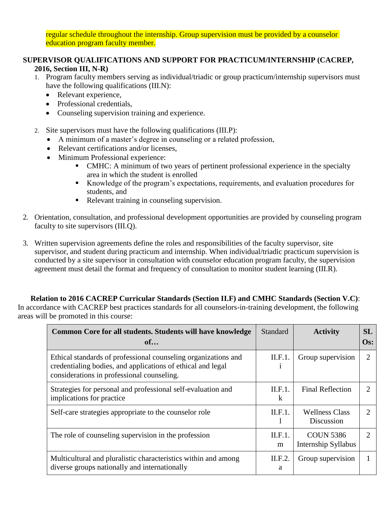regular schedule throughout the internship. Group supervision must be provided by a counselor education program faculty member.

### **SUPERVISOR QUALIFICATIONS AND SUPPORT FOR PRACTICUM/INTERNSHIP (CACREP, 2016, Section III, N-R)**

- 1. Program faculty members serving as individual/triadic or group practicum/internship supervisors must have the following qualifications (III.N):
	- Relevant experience,
	- Professional credentials,
	- Counseling supervision training and experience.
- 2. Site supervisors must have the following qualifications (III.P):
	- A minimum of a master's degree in counseling or a related profession,
	- Relevant certifications and/or licenses,
	- Minimum Professional experience:
		- CMHC: A minimum of two years of pertinent professional experience in the specialty area in which the student is enrolled
		- Knowledge of the program's expectations, requirements, and evaluation procedures for students, and
		- Relevant training in counseling supervision.
- 2. Orientation, consultation, and professional development opportunities are provided by counseling program faculty to site supervisors (III.Q).
- 3. Written supervision agreements define the roles and responsibilities of the faculty supervisor, site supervisor, and student during practicum and internship. When individual/triadic practicum supervision is conducted by a site supervisor in consultation with counselor education program faculty, the supervision agreement must detail the format and frequency of consultation to monitor student learning (III.R).

# **Relation to 2016 CACREP Curricular Standards (Section II.F) and CMHC Standards (Section V.C)**:

In accordance with CACREP best practices standards for all counselors-in-training development, the following areas will be promoted in this course:

| Common Core for all students. Students will have knowledge<br>of                                                                                                            | <b>Standard</b> | <b>Activity</b>                         | SL<br>$Os$ :                |
|-----------------------------------------------------------------------------------------------------------------------------------------------------------------------------|-----------------|-----------------------------------------|-----------------------------|
| Ethical standards of professional counseling organizations and<br>credentialing bodies, and applications of ethical and legal<br>considerations in professional counseling. | II.F.1.         | Group supervision                       | 2                           |
| Strategies for personal and professional self-evaluation and<br>implications for practice                                                                                   | II.F.1.<br>k    | <b>Final Reflection</b>                 | $\mathcal{D}_{\cdot}$       |
| Self-care strategies appropriate to the counselor role                                                                                                                      | II.F.1.         | <b>Wellness Class</b><br>Discussion     | $\mathcal{D}_{\mathcal{L}}$ |
| The role of counseling supervision in the profession                                                                                                                        | II.F.1.<br>m    | <b>COUN 5386</b><br>Internship Syllabus | 2                           |
| Multicultural and pluralistic characteristics within and among<br>diverse groups nationally and internationally                                                             | II.F.2.<br>a    | Group supervision                       |                             |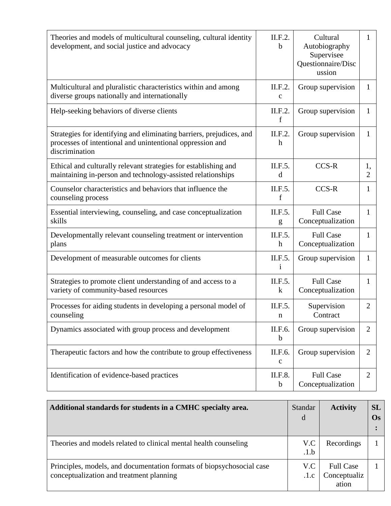| Theories and models of multicultural counseling, cultural identity<br>development, and social justice and advocacy                                  | II.F.2.<br>b                | Cultural<br>Autobiography<br>Supervisee<br>Questionnaire/Disc<br>ussion | $\mathbf{1}$         |
|-----------------------------------------------------------------------------------------------------------------------------------------------------|-----------------------------|-------------------------------------------------------------------------|----------------------|
| Multicultural and pluralistic characteristics within and among<br>diverse groups nationally and internationally                                     | II.F.2.<br>$\mathbf c$      | Group supervision                                                       | 1                    |
| Help-seeking behaviors of diverse clients                                                                                                           | II.F.2.<br>$\mathbf f$      | Group supervision                                                       | 1                    |
| Strategies for identifying and eliminating barriers, prejudices, and<br>processes of intentional and unintentional oppression and<br>discrimination | II.F.2.<br>$\boldsymbol{h}$ | Group supervision                                                       | $\mathbf{1}$         |
| Ethical and culturally relevant strategies for establishing and<br>maintaining in-person and technology-assisted relationships                      | II.F.5.<br>d                | CCS-R                                                                   | 1,<br>$\overline{2}$ |
| Counselor characteristics and behaviors that influence the<br>counseling process                                                                    | II.F.5.<br>$\mathbf f$      | CCS-R                                                                   | $\mathbf{1}$         |
| Essential interviewing, counseling, and case conceptualization<br>skills                                                                            | II.F.5.<br>g                | <b>Full Case</b><br>Conceptualization                                   | 1                    |
| Developmentally relevant counseling treatment or intervention<br>plans                                                                              | II.F.5.<br>$\boldsymbol{h}$ | <b>Full Case</b><br>Conceptualization                                   | 1                    |
| Development of measurable outcomes for clients                                                                                                      | II.F.5.<br>$\mathbf{i}$     | Group supervision                                                       | $\mathbf{1}$         |
| Strategies to promote client understanding of and access to a<br>variety of community-based resources                                               | II.F.5.<br>$\bf k$          | <b>Full Case</b><br>Conceptualization                                   | 1                    |
| Processes for aiding students in developing a personal model of<br>counseling                                                                       | II.F.5.<br>$\mathbf n$      | Supervision<br>Contract                                                 | $\overline{2}$       |
| Dynamics associated with group process and development                                                                                              | II.F.6.<br>$\mathbf b$      | Group supervision                                                       | $\overline{2}$       |
| Therapeutic factors and how the contribute to group effectiveness                                                                                   | II.F.6.<br>$\mathbf{C}$     | Group supervision                                                       | $\overline{2}$       |
| Identification of evidence-based practices                                                                                                          | II.F.8.<br>$\mathbf b$      | <b>Full Case</b><br>Conceptualization                                   | $\overline{2}$       |

| Additional standards for students in a CMHC specialty area.                                                       | <b>Standar</b><br>d | <b>Activity</b>                           | <b>SL</b><br>$\mathbf{Os}$ |
|-------------------------------------------------------------------------------------------------------------------|---------------------|-------------------------------------------|----------------------------|
| Theories and models related to clinical mental health counseling                                                  | V.C<br>.1.b         | Recordings                                |                            |
| Principles, models, and documentation formats of biopsychosocial case<br>conceptualization and treatment planning | V.C<br>.1.c         | <b>Full Case</b><br>Conceptualiz<br>ation |                            |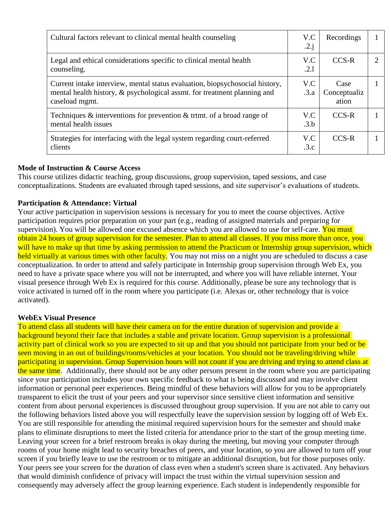| Cultural factors relevant to clinical mental health counseling                                                                                                             | V.C<br>.2.j | Recordings                    |  |
|----------------------------------------------------------------------------------------------------------------------------------------------------------------------------|-------------|-------------------------------|--|
| Legal and ethical considerations specific to clinical mental health<br>counseling.                                                                                         | V.C<br>.2.1 | $CCS-R$                       |  |
| Current intake interview, mental status evaluation, biopsychosocial history,<br>mental health history, & psychological assmt. for treatment planning and<br>caseload mgmt. | V.C<br>.3.a | Case<br>Conceptualiz<br>ation |  |
| Techniques $\&$ interventions for prevention $\&$ trimt. of a broad range of<br>mental health issues                                                                       | V.C<br>.3.b | CCS-R                         |  |
| Strategies for interfacing with the legal system regarding court-referred<br>clients                                                                                       | V.C<br>.3.c | $CCS-R$                       |  |

## **Mode of Instruction & Course Access**

This course utilizes didactic teaching, group discussions, group supervision, taped sessions, and case conceptualizations. Students are evaluated through taped sessions, and site supervisor's evaluations of students.

#### **Participation & Attendance: Virtual**

Your active participation in supervision sessions is necessary for you to meet the course objectives. Active participation requires prior preparation on your part (e.g., reading of assigned materials and preparing for supervision). You will be allowed one excused absence which you are allowed to use for self-care. You must obtain 24 hours of group supervision for the semester. Plan to attend all classes. If you miss more than once, you will have to make up that time by asking permission to attend the Practicum or Internship group supervision, which held virtually at various times with other faculty. You may not miss on a night you are scheduled to discuss a case conceptualization. In order to attend and safely participate in Internship group supervision through Web Ex, you need to have a private space where you will not be interrupted, and where you will have reliable internet. Your visual presence through Web Ex is required for this course. Additionally, please be sure any technology that is voice activated is turned off in the room where you participate (i.e. Alexas or, other technology that is voice activated).

#### **WebEx Visual Presence**

To attend class all students will have their camera on for the entire duration of supervision and provide a background beyond their face that includes a stable and private location. Group supervision is a professional activity part of clinical work so you are expected to sit up and that you should not participate from your bed or be seen moving in an out of buildings/rooms/vehicles at your location. You should not be traveling/driving while participating in supervision. Group Supervision hours will not count if you are driving and trying to attend class at the same time. Additionally, there should not be any other persons present in the room where you are participating since your participation includes your own specific feedback to what is being discussed and may involve client information or personal peer experiences. Being mindful of these behaviors will allow for you to be appropriately transparent to elicit the trust of your peers and your supervisor since sensitive client information and sensitive content from about personal experiences is discussed throughout group supervision. If you are not able to carry out the following behaviors listed above you will respectfully leave the supervision session by logging off of Web Ex. You are still responsible for attending the minimal required supervision hours for the semester and should make plans to eliminate disruptions to meet the listed criteria for attendance prior to the start of the group meeting time. Leaving your screen for a brief restroom breaks is okay during the meeting, but moving your computer through rooms of your home might lead to security breaches of peers, and your location, so you are allowed to turn off your screen if you briefly leave to use the restroom or to mitigate an additional disruption, but for those purposes only. Your peers see your screen for the duration of class even when a student's screen share is activated. Any behaviors that would diminish confidence of privacy will impact the trust within the virtual supervision session and consequently may adversely affect the group learning experience. Each student is independently responsible for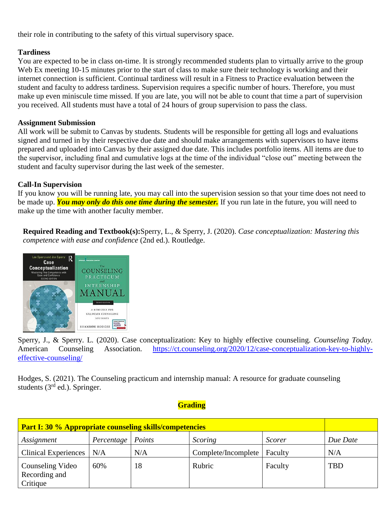their role in contributing to the safety of this virtual supervisory space.

## **Tardiness**

You are expected to be in class on-time. It is strongly recommended students plan to virtually arrive to the group Web Ex meeting 10-15 minutes prior to the start of class to make sure their technology is working and their internet connection is sufficient. Continual tardiness will result in a Fitness to Practice evaluation between the student and faculty to address tardiness. Supervision requires a specific number of hours. Therefore, you must make up even miniscule time missed. If you are late, you will not be able to count that time a part of supervision you received. All students must have a total of 24 hours of group supervision to pass the class.

## **Assignment Submission**

All work will be submit to Canvas by students. Students will be responsible for getting all logs and evaluations signed and turned in by their respective due date and should make arrangements with supervisors to have items prepared and uploaded into Canvas by their assigned due date. This includes portfolio items. All items are due to the supervisor, including final and cumulative logs at the time of the individual "close out" meeting between the student and faculty supervisor during the last week of the semester.

# **Call-In Supervision**

If you know you will be running late, you may call into the supervision session so that your time does not need to be made up. *You may only do this one time during the semester.* If you run late in the future, you will need to make up the time with another faculty member.

**Required Reading and Textbook(s):**Sperry, L., & Sperry, J. (2020). *Case conceptualization: Mastering this competence with ease and confidence* (2nd ed.). Routledge.



Sperry, J., & Sperry. L. (2020). Case conceptualization: Key to highly effective counseling. *Counseling Today.*  American Counseling Association. [https://ct.counseling.org/2020/12/case-conceptualization-key-to-highly](https://ct.counseling.org/2020/12/case-conceptualization-key-to-highly-effective-counseling/)[effective-counseling/](https://ct.counseling.org/2020/12/case-conceptualization-key-to-highly-effective-counseling/)

Hodges, S. (2021). The Counseling practicum and internship manual: A resource for graduate counseling students  $(3<sup>rd</sup>$  ed.). Springer.

# **Grading**

| <b>Part I: 30 % Appropriate counseling skills/competencies</b> |            |        |                               |               |            |  |
|----------------------------------------------------------------|------------|--------|-------------------------------|---------------|------------|--|
| Assignment                                                     | Percentage | Points | Scoring                       | <b>Scorer</b> | Due Date   |  |
| <b>Clinical Experiences</b>                                    | N/A        | N/A    | Complete/Incomplete   Faculty |               | N/A        |  |
| Counseling Video<br>Recording and<br>Critique                  | 60%        | 18     | Rubric                        | Faculty       | <b>TBD</b> |  |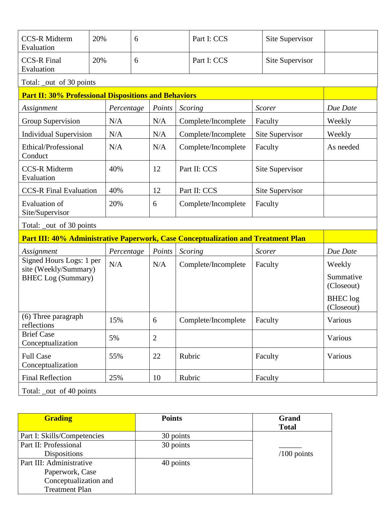| <b>CCS-R Midterm</b><br>Evaluation                                                | 20% |            | 6 |                |  | Part I: CCS         |  | Site Supervisor |                                                                    |
|-----------------------------------------------------------------------------------|-----|------------|---|----------------|--|---------------------|--|-----------------|--------------------------------------------------------------------|
| <b>CCS-R Final</b><br>Evaluation                                                  | 20% |            | 6 |                |  | Part I: CCS         |  | Site Supervisor |                                                                    |
| Total: _out of 30 points                                                          |     |            |   |                |  |                     |  |                 |                                                                    |
| <b>Part II: 30% Professional Dispositions and Behaviors</b>                       |     |            |   |                |  |                     |  |                 |                                                                    |
| Assignment                                                                        |     | Percentage |   | Points         |  | Scoring             |  | Scorer          | Due Date                                                           |
| Group Supervision                                                                 |     | N/A        |   | N/A            |  | Complete/Incomplete |  | Faculty         | Weekly                                                             |
| <b>Individual Supervision</b>                                                     |     | N/A        |   | N/A            |  | Complete/Incomplete |  | Site Supervisor | Weekly                                                             |
| Ethical/Professional<br>Conduct                                                   |     | N/A        |   | N/A            |  | Complete/Incomplete |  | Faculty         | As needed                                                          |
| <b>CCS-R Midterm</b><br>Evaluation                                                |     | 40%        |   | 12             |  | Part II: CCS        |  | Site Supervisor |                                                                    |
| <b>CCS-R Final Evaluation</b>                                                     |     | 40%        |   | 12             |  | Part II: CCS        |  | Site Supervisor |                                                                    |
| <b>Evaluation of</b><br>Site/Supervisor                                           |     | 20%        |   | 6              |  | Complete/Incomplete |  | Faculty         |                                                                    |
| Total: _out of 30 points                                                          |     |            |   |                |  |                     |  |                 |                                                                    |
| Part III: 40% Administrative Paperwork, Case Conceptualization and Treatment Plan |     |            |   |                |  |                     |  |                 |                                                                    |
| Assignment                                                                        |     | Percentage |   | Points         |  | Scoring             |  | Scorer          | Due Date                                                           |
| Signed Hours Logs: 1 per<br>site (Weekly/Summary)<br><b>BHEC</b> Log (Summary)    |     | N/A        |   | N/A            |  | Complete/Incomplete |  | Faculty         | Weekly<br>Summative<br>(Closeout)<br><b>BHEC</b> log<br>(Closeout) |
| (6) Three paragraph<br>reflections                                                |     | 15%        |   | 6              |  | Complete/Incomplete |  | Faculty         | Various                                                            |
| <b>Brief Case</b><br>Conceptualization                                            |     | 5%         |   | $\overline{2}$ |  |                     |  |                 | Various                                                            |
| <b>Full Case</b><br>Conceptualization                                             |     | 55%        |   | 22             |  | Rubric              |  | Faculty         | Various                                                            |
| <b>Final Reflection</b>                                                           |     | 25%        |   | 10             |  | Rubric              |  | Faculty         |                                                                    |
| Total: _out of 40 points                                                          |     |            |   |                |  |                     |  |                 |                                                                    |

| <b>Grading</b>              | <b>Points</b> | Grand<br><b>Total</b> |
|-----------------------------|---------------|-----------------------|
| Part I: Skills/Competencies | 30 points     |                       |
| Part II: Professional       | 30 points     |                       |
| <b>Dispositions</b>         |               | $/100$ points         |
| Part III: Administrative    | 40 points     |                       |
| Paperwork, Case             |               |                       |
| Conceptualization and       |               |                       |
| <b>Treatment Plan</b>       |               |                       |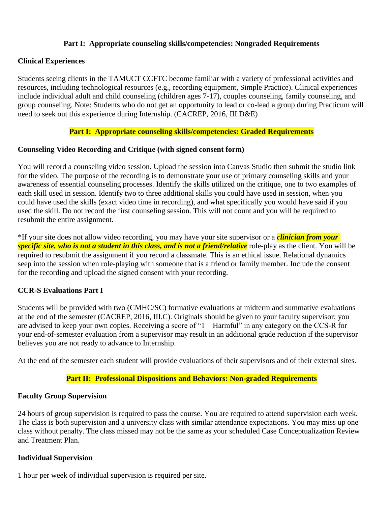### **Part I: Appropriate counseling skills/competencies: Nongraded Requirements**

### **Clinical Experiences**

Students seeing clients in the TAMUCT CCFTC become familiar with a variety of professional activities and resources, including technological resources (e.g., recording equipment, Simple Practice). Clinical experiences include individual adult and child counseling (children ages 7-17), couples counseling, family counseling, and group counseling. Note: Students who do not get an opportunity to lead or co-lead a group during Practicum will need to seek out this experience during Internship. (CACREP, 2016, III.D&E)

## **Part I: Appropriate counseling skills/competencies: Graded Requirements**

#### **Counseling Video Recording and Critique (with signed consent form)**

You will record a counseling video session. Upload the session into Canvas Studio then submit the studio link for the video. The purpose of the recording is to demonstrate your use of primary counseling skills and your awareness of essential counseling processes. Identify the skills utilized on the critique, one to two examples of each skill used in session. Identify two to three additional skills you could have used in session, when you could have used the skills (exact video time in recording), and what specifically you would have said if you used the skill. Do not record the first counseling session. This will not count and you will be required to resubmit the entire assignment.

\*If your site does not allow video recording, you may have your site supervisor or a *clinician from your specific site, who is not a student in this class, and is not a friend/relative* role-play as the client. You will be required to resubmit the assignment if you record a classmate. This is an ethical issue. Relational dynamics seep into the session when role-playing with someone that is a friend or family member. Include the consent for the recording and upload the signed consent with your recording.

## **CCR-S Evaluations Part I**

Students will be provided with two (CMHC/SC) formative evaluations at midterm and summative evaluations at the end of the semester (CACREP, 2016, III.C). Originals should be given to your faculty supervisor; you are advised to keep your own copies. Receiving a score of "1—Harmful" in any category on the CCS-R for your end-of-semester evaluation from a supervisor may result in an additional grade reduction if the supervisor believes you are not ready to advance to Internship.

At the end of the semester each student will provide evaluations of their supervisors and of their external sites.

#### **Part II: Professional Dispositions and Behaviors: Non-graded Requirements**

#### **Faculty Group Supervision**

24 hours of group supervision is required to pass the course. You are required to attend supervision each week. The class is both supervision and a university class with similar attendance expectations. You may miss up one class without penalty. The class missed may not be the same as your scheduled Case Conceptualization Review and Treatment Plan.

#### **Individual Supervision**

1 hour per week of individual supervision is required per site.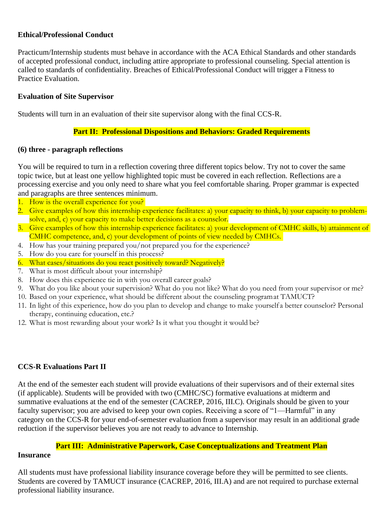### **Ethical/Professional Conduct**

Practicum/Internship students must behave in accordance with the ACA Ethical Standards and other standards of accepted professional conduct, including attire appropriate to professional counseling. Special attention is called to standards of confidentiality. Breaches of Ethical/Professional Conduct will trigger a Fitness to Practice Evaluation.

#### **Evaluation of Site Supervisor**

Students will turn in an evaluation of their site supervisor along with the final CCS-R.

### **Part II: Professional Dispositions and Behaviors: Graded Requirements**

#### **(6) three - paragraph reflections**

You will be required to turn in a reflection covering three different topics below. Try not to cover the same topic twice, but at least one yellow highlighted topic must be covered in each reflection. Reflections are a processing exercise and you only need to share what you feel comfortable sharing. Proper grammar is expected and paragraphs are three sentences minimum.

- 1. How is the overall experience for you?
- 2. Give examples of how this internship experience facilitates: a) your capacity to think, b) your capacity to problemsolve, and, c) your capacity to make better decisions as a counselor.
- 3. Give examples of how this internship experience facilitates: a) your development of CMHC skills, b) attainment of CMHC competence, and, c) your development of points of view needed by CMHCs.
- 4. How has your training prepared you/not prepared you for the experience?
- 5. How do you care for yourself in this process?
- 6. What cases/situations do you react positively toward? Negatively?
- 7. What is most difficult about your internship?
- 8. How does this experience tie in with you overall career goals?
- 9. What do you like about your supervision? What do you not like? What do you need from your supervisor or me?
- 10. Based on your experience, what should be different about the counseling programat TAMUCT?
- 11. In light of this experience, how do you plan to develop and change to make yourself a better counselor? Personal therapy, continuing education, etc.?
- 12. What is most rewarding about your work? Is it what you thought it would be?

#### **CCS-R Evaluations Part II**

At the end of the semester each student will provide evaluations of their supervisors and of their external sites (if applicable). Students will be provided with two (CMHC/SC) formative evaluations at midterm and summative evaluations at the end of the semester (CACREP, 2016, III.C). Originals should be given to your faculty supervisor; you are advised to keep your own copies. Receiving a score of "1—Harmful" in any category on the CCS-R for your end-of-semester evaluation from a supervisor may result in an additional grade reduction if the supervisor believes you are not ready to advance to Internship.

#### **Part III: Administrative Paperwork, Case Conceptualizations and Treatment Plan Insurance**

All students must have professional liability insurance coverage before they will be permitted to see clients. Students are covered by TAMUCT insurance (CACREP, 2016, III.A) and are not required to purchase external professional liability insurance.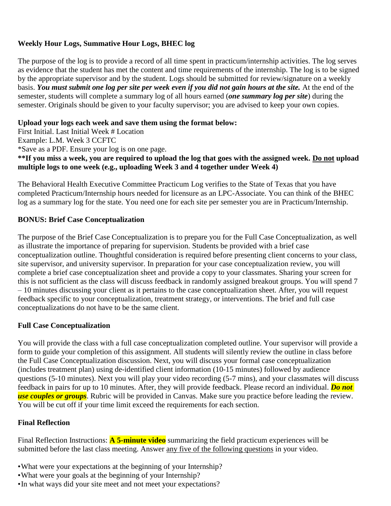# **Weekly Hour Logs, Summative Hour Logs, BHEC log**

The purpose of the log is to provide a record of all time spent in practicum/internship activities. The log serves as evidence that the student has met the content and time requirements of the internship. The log is to be signed by the appropriate supervisor and by the student. Logs should be submitted for review/signature on a weekly basis. *You must submit one log per site per week even if you did not gain hours at the site.* At the end of the semester, students will complete a summary log of all hours earned (*one summary log per site*) during the semester. Originals should be given to your faculty supervisor; you are advised to keep your own copies.

## **Upload your logs each week and save them using the format below:**

First Initial. Last Initial Week # Location Example: L.M. Week 3 CCFTC \*Save as a PDF. Ensure your log is on one page. **\*\*If you miss a week, you are required to upload the log that goes with the assigned week. Do not upload multiple logs to one week (e.g., uploading Week 3 and 4 together under Week 4)**

The Behavioral Health Executive Committee Practicum Log verifies to the State of Texas that you have completed Practicum/Internship hours needed for licensure as an LPC-Associate. You can think of the BHEC log as a summary log for the state. You need one for each site per semester you are in Practicum/Internship.

# **BONUS: Brief Case Conceptualization**

The purpose of the Brief Case Conceptualization is to prepare you for the Full Case Conceptualization, as well as illustrate the importance of preparing for supervision. Students be provided with a brief case conceptualization outline. Thoughtful consideration is required before presenting client concerns to your class, site supervisor, and university supervisor. In preparation for your case conceptualization review, you will complete a brief case conceptualization sheet and provide a copy to your classmates. Sharing your screen for this is not sufficient as the class will discuss feedback in randomly assigned breakout groups. You will spend 7 – 10 minutes discussing your client as it pertains to the case conceptualization sheet. After, you will request feedback specific to your conceptualization, treatment strategy, or interventions. The brief and full case conceptualizations do not have to be the same client.

## **Full Case Conceptualization**

You will provide the class with a full case conceptualization completed outline. Your supervisor will provide a form to guide your completion of this assignment. All students will silently review the outline in class before the Full Case Conceptualization discussion. Next, you will discuss your formal case conceptualization (includes treatment plan) using de-identified client information (10-15 minutes) followed by audience questions (5-10 minutes). Next you will play your video recording (5-7 mins), and your classmates will discuss feedback in pairs for up to 10 minutes. After, they will provide feedback. Please record an individual. *Do not use couples or groups*. Rubric will be provided in Canvas. Make sure you practice before leading the review. You will be cut off if your time limit exceed the requirements for each section.

## **Final Reflection**

Final Reflection Instructions: **A 5-minute video** summarizing the field practicum experiences will be submitted before the last class meeting. Answer any five of the following questions in your video.

- •What were your expectations at the beginning of your Internship?
- •What were your goals at the beginning of your Internship?
- •In what ways did your site meet and not meet your expectations?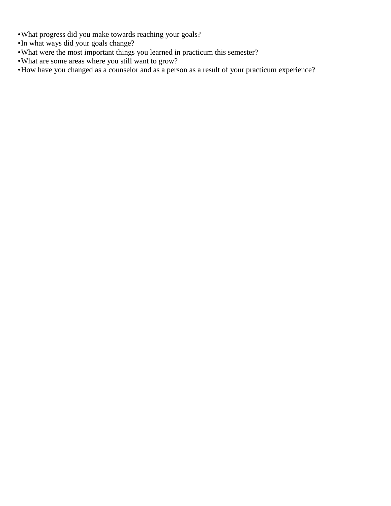- •What progress did you make towards reaching your goals?
- •In what ways did your goals change?
- •What were the most important things you learned in practicum this semester?
- •What are some areas where you still want to grow?
- •How have you changed as a counselor and as a person as a result of your practicum experience?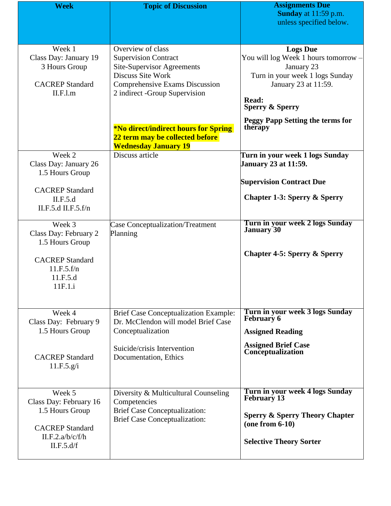| <b>Week</b>                                                                                                     | <b>Topic of Discussion</b>                                                                                                                                                           | <b>Assignments Due</b><br>Sunday at 11:59 p.m.                                                                                                                          |
|-----------------------------------------------------------------------------------------------------------------|--------------------------------------------------------------------------------------------------------------------------------------------------------------------------------------|-------------------------------------------------------------------------------------------------------------------------------------------------------------------------|
|                                                                                                                 |                                                                                                                                                                                      | unless specified below.                                                                                                                                                 |
|                                                                                                                 |                                                                                                                                                                                      |                                                                                                                                                                         |
| Week 1<br>Class Day: January 19<br>3 Hours Group<br><b>CACREP</b> Standard<br>II.F.l.m                          | Overview of class<br><b>Supervision Contract</b><br><b>Site-Supervisor Agreements</b><br>Discuss Site Work<br><b>Comprehensive Exams Discussion</b><br>2 indirect -Group Supervision | <b>Logs Due</b><br>You will log Week 1 hours tomorrow -<br>January 23<br>Turn in your week 1 logs Sunday<br>January 23 at 11:59.<br>Read:<br><b>Sperry &amp; Sperry</b> |
|                                                                                                                 | <b>*No direct/indirect hours for Spring</b><br>22 term may be collected before<br><b>Wednesday January 19</b>                                                                        | <b>Peggy Papp Setting the terms for</b><br>therapy                                                                                                                      |
| Week 2<br>Class Day: January 26<br>1.5 Hours Group                                                              | Discuss article                                                                                                                                                                      | Turn in your week 1 logs Sunday<br><b>January 23 at 11:59.</b>                                                                                                          |
| <b>CACREP</b> Standard<br>II.F.5.d<br>II.F.5.d II.F.5.f/n                                                       |                                                                                                                                                                                      | <b>Supervision Contract Due</b><br><b>Chapter 1-3: Sperry &amp; Sperry</b>                                                                                              |
| Week 3<br>Class Day: February 2<br>1.5 Hours Group                                                              | Case Conceptualization/Treatment<br>Planning                                                                                                                                         | Turn in your week 2 logs Sunday<br>January <sup>30</sup>                                                                                                                |
| <b>CACREP</b> Standard<br>11.F.5.f/n<br>11.F.5.d<br>11F.1.i                                                     |                                                                                                                                                                                      | <b>Chapter 4-5: Sperry &amp; Sperry</b>                                                                                                                                 |
| Week 4<br>Class Day: February 9                                                                                 | <b>Brief Case Conceptualization Example:</b><br>Dr. McClendon will model Brief Case                                                                                                  | Turn in your week 3 logs Sunday<br>February 6                                                                                                                           |
| 1.5 Hours Group                                                                                                 | Conceptualization                                                                                                                                                                    | <b>Assigned Reading</b>                                                                                                                                                 |
| <b>CACREP</b> Standard<br>11.F.5.g/i                                                                            | Suicide/crisis Intervention<br>Documentation, Ethics                                                                                                                                 | <b>Assigned Brief Case<br/>Conceptualization</b>                                                                                                                        |
| Week 5<br>Class Day: February 16<br>1.5 Hours Group<br><b>CACREP</b> Standard<br>II.F.2.a/b/c/f/h<br>II.F.5.d/f | Diversity & Multicultural Counseling<br>Competencies<br><b>Brief Case Conceptualization:</b><br><b>Brief Case Conceptualization:</b>                                                 | Turn in your week 4 logs Sunday<br><b>February 13</b><br><b>Sperry &amp; Sperry Theory Chapter</b><br>$(one from 6-10)$<br><b>Selective Theory Sorter</b>               |
|                                                                                                                 |                                                                                                                                                                                      |                                                                                                                                                                         |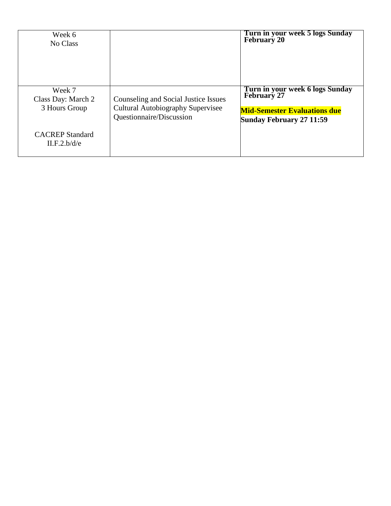| Week 6<br>No Class                            |                                                                                                              | Turn in your week 5 logs Sunday<br>February 20                                                                                  |
|-----------------------------------------------|--------------------------------------------------------------------------------------------------------------|---------------------------------------------------------------------------------------------------------------------------------|
| Week 7<br>Class Day: March 2<br>3 Hours Group | Counseling and Social Justice Issues<br><b>Cultural Autobiography Supervisee</b><br>Questionnaire/Discussion | Turn in your week 6 logs Sunday<br><b>February 27</b><br><b>Mid-Semester Evaluations due</b><br><b>Sunday February 27 11:59</b> |
| <b>CACREP</b> Standard<br>II.F.2.b/d/e        |                                                                                                              |                                                                                                                                 |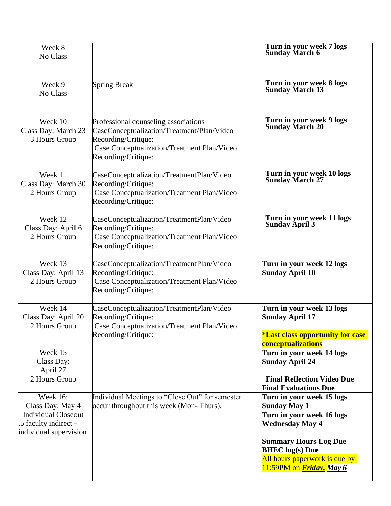| Week 8<br>No Class                                                                                               |                                                                                                                                                                                 | Turn in your week 7 logs<br><b>Sunday March 6</b>                                                                   |
|------------------------------------------------------------------------------------------------------------------|---------------------------------------------------------------------------------------------------------------------------------------------------------------------------------|---------------------------------------------------------------------------------------------------------------------|
|                                                                                                                  |                                                                                                                                                                                 |                                                                                                                     |
| Week 9<br>No Class                                                                                               | <b>Spring Break</b>                                                                                                                                                             | Turn in your week 8 logs<br>Sunday March 13                                                                         |
| Week 10<br>Class Day: March 23<br>3 Hours Group                                                                  | Professional counseling associations<br>CaseConceptualization/Treatment/Plan/Video<br>Recording/Critique:<br>Case Conceptualization/Treatment Plan/Video<br>Recording/Critique: | Turn in your week 9 logs<br>Sunday March 20                                                                         |
| Week 11<br>Class Day: March 30<br>2 Hours Group                                                                  | CaseConceptualization/TreatmentPlan/Video<br>Recording/Critique:<br>Case Conceptualization/Treatment Plan/Video<br>Recording/Critique:                                          | Turn in your week 10 logs<br>Sunday March 27                                                                        |
| Week 12<br>Class Day: April 6<br>2 Hours Group                                                                   | CaseConceptualization/TreatmentPlan/Video<br>Recording/Critique:<br>Case Conceptualization/Treatment Plan/Video<br>Recording/Critique:                                          | Turn in your week 11 logs<br>Sunday April 3                                                                         |
| Week 13<br>Class Day: April 13<br>2 Hours Group                                                                  | CaseConceptualization/TreatmentPlan/Video<br>Recording/Critique:<br>Case Conceptualization/Treatment Plan/Video<br>Recording/Critique:                                          | Turn in your week 12 logs<br><b>Sunday April 10</b>                                                                 |
| Week 14<br>Class Day: April 20<br>2 Hours Group                                                                  | CaseConceptualization/TreatmentPlan/Video<br>Recording/Critique:<br>Case Conceptualization/Treatment Plan/Video<br>Recording/Critique:                                          | Turn in your week 13 logs<br><b>Sunday April 17</b>                                                                 |
|                                                                                                                  |                                                                                                                                                                                 | <i><b>*Last class opportunity for case</b></i><br><b>conceptualizations</b>                                         |
| Week 15<br>Class Day:<br>April 27<br>2 Hours Group                                                               |                                                                                                                                                                                 | Turn in your week 14 logs<br><b>Sunday April 24</b><br><b>Final Reflection Video Due</b>                            |
|                                                                                                                  |                                                                                                                                                                                 | <b>Final Evaluations Due</b>                                                                                        |
| Week $16$ :<br>Class Day: May 4<br><b>Individual Closeout</b><br>.5 faculty indirect -<br>individual supervision | Individual Meetings to "Close Out" for semester<br>occur throughout this week (Mon-Thurs).                                                                                      | Turn in your week 15 logs<br><b>Sunday May 1</b><br>Turn in your week 16 logs<br><b>Wednesday May 4</b>             |
|                                                                                                                  |                                                                                                                                                                                 | <b>Summary Hours Log Due</b><br><b>BHEC</b> log(s) Due<br>All hours paperwork is due by<br>11:59PM on Friday, May 6 |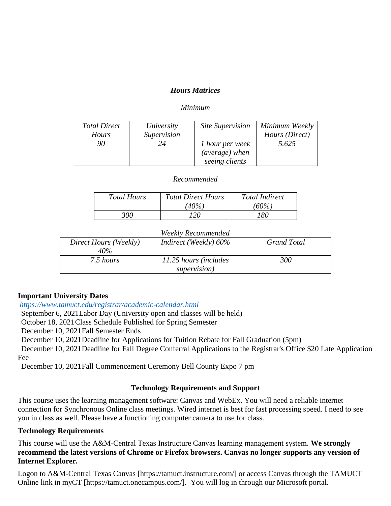## *Hours Matrices*

#### *Minimum*

| <b>Total Direct</b> | University  | <b>Site Supervision</b> | Minimum Weekly |
|---------------------|-------------|-------------------------|----------------|
| <b>Hours</b>        | Supervision |                         | Hours (Direct) |
| 90                  | 24          | 1 hour per week         | 5.625          |
|                     |             | (average) when          |                |
|                     |             | seeing clients          |                |

#### *Recommended*

| <b>Total Hours</b> | <b>Total Direct Hours</b> | <b>Total Indirect</b> |
|--------------------|---------------------------|-----------------------|
|                    | $(40\%)$                  | (60%)                 |
| 300                | ר?                        | 180                   |

## *Weekly Recommended*

| Direct Hours (Weekly)<br>40% | <i>Indirect</i> ( <i>Weekly</i> ) $60\%$ | <b>Grand Total</b> |
|------------------------------|------------------------------------------|--------------------|
| 7.5 hours                    | 11.25 hours (includes<br>supervision)    | 300                |

## **Important University Dates**

*<https://www.tamuct.edu/registrar/academic-calendar.html>*

September 6, 2021Labor Day (University open and classes will be held)

October 18, 2021Class Schedule Published for Spring Semester

December 10, 2021Fall Semester Ends

December 10, 2021Deadline for Applications for Tuition Rebate for Fall Graduation (5pm)

December 10, 2021Deadline for Fall Degree Conferral Applications to the Registrar's Office \$20 Late Application Fee

December 10, 2021Fall Commencement Ceremony Bell County Expo 7 pm

## **Technology Requirements and Support**

This course uses the learning management software: Canvas and WebEx. You will need a reliable internet connection for Synchronous Online class meetings. Wired internet is best for fast processing speed. I need to see you in class as well. Please have a functioning computer camera to use for class.

## **Technology Requirements**

This course will use the A&M-Central Texas Instructure Canvas learning management system. **We strongly recommend the latest versions of Chrome or Firefox browsers. Canvas no longer supports any version of Internet Explorer.**

Logon to A&M-Central Texas Canvas [https://tamuct.instructure.com/] or access Canvas through the TAMUCT Online link in myCT [https://tamuct.onecampus.com/]. You will log in through our Microsoft portal.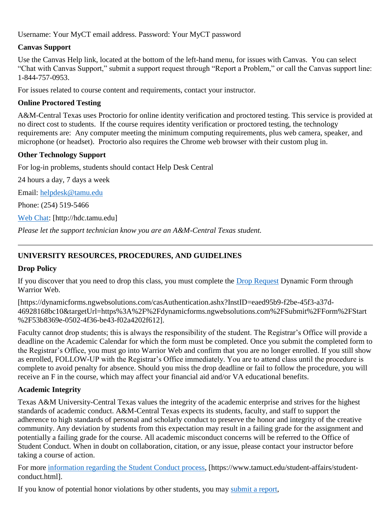Username: Your MyCT email address. Password: Your MyCT password

# **Canvas Support**

Use the Canvas Help link, located at the bottom of the left-hand menu, for issues with Canvas. You can select "Chat with Canvas Support," submit a support request through "Report a Problem," or call the Canvas support line: 1-844-757-0953.

For issues related to course content and requirements, contact your instructor.

# **Online Proctored Testing**

A&M-Central Texas uses Proctorio for online identity verification and proctored testing. This service is provided at no direct cost to students. If the course requires identity verification or proctored testing, the technology requirements are: Any computer meeting the minimum computing requirements, plus web camera, speaker, and microphone (or headset). Proctorio also requires the Chrome web browser with their custom plug in.

# **Other Technology Support**

For log-in problems, students should contact Help Desk Central

24 hours a day, 7 days a week

Email: [helpdesk@tamu.edu](mailto:helpdesk@tamu.edu)

Phone: (254) 519-5466

[Web Chat:](http://hdc.tamu.edu/) [http://hdc.tamu.edu]

*Please let the support technician know you are an A&M-Central Texas student.*

# **UNIVERSITY RESOURCES, PROCEDURES, AND GUIDELINES**

# **Drop Policy**

If you discover that you need to drop this class, you must complete the [Drop Request](https://dynamicforms.ngwebsolutions.com/casAuthentication.ashx?InstID=eaed95b9-f2be-45f3-a37d-46928168bc10&targetUrl=https%3A%2F%2Fdynamicforms.ngwebsolutions.com%2FSubmit%2FForm%2FStart%2F53b8369e-0502-4f36-be43-f02a4202f612) Dynamic Form through Warrior Web.

[https://dynamicforms.ngwebsolutions.com/casAuthentication.ashx?InstID=eaed95b9-f2be-45f3-a37d-46928168bc10&targetUrl=https%3A%2F%2Fdynamicforms.ngwebsolutions.com%2FSubmit%2FForm%2FStart %2F53b8369e-0502-4f36-be43-f02a4202f612].

Faculty cannot drop students; this is always the responsibility of the student. The Registrar's Office will provide a deadline on the Academic Calendar for which the form must be completed. Once you submit the completed form to the Registrar's Office, you must go into Warrior Web and confirm that you are no longer enrolled. If you still show as enrolled, FOLLOW-UP with the Registrar's Office immediately. You are to attend class until the procedure is complete to avoid penalty for absence. Should you miss the drop deadline or fail to follow the procedure, you will receive an F in the course, which may affect your financial aid and/or VA educational benefits.

# **Academic Integrity**

Texas A&M University-Central Texas values the integrity of the academic enterprise and strives for the highest standards of academic conduct. A&M-Central Texas expects its students, faculty, and staff to support the adherence to high standards of personal and scholarly conduct to preserve the honor and integrity of the creative community. Any deviation by students from this expectation may result in a failing grade for the assignment and potentially a failing grade for the course. All academic misconduct concerns will be referred to the Office of Student Conduct. When in doubt on collaboration, citation, or any issue, please contact your instructor before taking a course of action.

For more [information regarding the Student Conduct process,](https://nam04.safelinks.protection.outlook.com/?url=https%3A%2F%2Fwww.tamuct.edu%2Fstudent-affairs%2Fstudent-conduct.html&data=04%7C01%7Clisa.bunkowski%40tamuct.edu%7Ccfb6e486f24745f53e1a08d910055cb2%7C9eed4e3000f744849ff193ad8005acec%7C0%7C0%7C637558437485252160%7CUnknown%7CTWFpbGZsb3d8eyJWIjoiMC4wLjAwMDAiLCJQIjoiV2luMzIiLCJBTiI6Ik1haWwiLCJXVCI6Mn0%3D%7C1000&sdata=yjftDEVHvLX%2FhM%2FcFU0B99krV1RgEWR%2BJ%2BhvtoR6TYk%3D&reserved=0) [https://www.tamuct.edu/student-affairs/studentconduct.html].

If you know of potential honor violations by other students, you may [submit a report,](https://nam04.safelinks.protection.outlook.com/?url=https%3A%2F%2Fcm.maxient.com%2Freportingform.php%3FTAMUCentralTexas%26layout_id%3D0&data=04%7C01%7Clisa.bunkowski%40tamuct.edu%7Ccfb6e486f24745f53e1a08d910055cb2%7C9eed4e3000f744849ff193ad8005acec%7C0%7C0%7C637558437485262157%7CUnknown%7CTWFpbGZsb3d8eyJWIjoiMC4wLjAwMDAiLCJQIjoiV2luMzIiLCJBTiI6Ik1haWwiLCJXVCI6Mn0%3D%7C1000&sdata=CXGkOa6uPDPX1IMZ87z3aZDq2n91xfHKu4MMS43Ejjk%3D&reserved=0)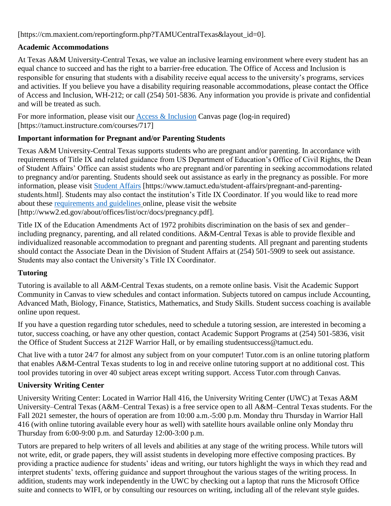[https://cm.maxient.com/reportingform.php?TAMUCentralTexas&layout\_id=0].

# **Academic Accommodations**

At Texas A&M University-Central Texas, we value an inclusive learning environment where every student has an equal chance to succeed and has the right to a barrier-free education. The Office of Access and Inclusion is responsible for ensuring that students with a disability receive equal access to the university's programs, services and activities. If you believe you have a disability requiring reasonable accommodations, please contact the Office of Access and Inclusion, WH-212; or call (254) 501-5836. Any information you provide is private and confidential and will be treated as such.

For more information, please visit our  $\Delta \csc \&$  Inclusion Canvas page (log-in required) [https://tamuct.instructure.com/courses/717]

# **Important information for Pregnant and/or Parenting Students**

Texas A&M University-Central Texas supports students who are pregnant and/or parenting. In accordance with requirements of Title IX and related guidance from US Department of Education's Office of Civil Rights, the Dean of Student Affairs' Office can assist students who are pregnant and/or parenting in seeking accommodations related to pregnancy and/or parenting. Students should seek out assistance as early in the pregnancy as possible. For more information, please visit [Student Affairs](https://www.tamuct.edu/student-affairs/pregnant-and-parenting-students.html) [https://www.tamuct.edu/student-affairs/pregnant-and-parentingstudents.html]. Students may also contact the institution's Title IX Coordinator. If you would like to read more about these [requirements and guidelines](http://www2.ed.gov/about/offices/list/ocr/docs/pregnancy.pdf) online, please visit the website [http://www2.ed.gov/about/offices/list/ocr/docs/pregnancy.pdf].

Title IX of the Education Amendments Act of 1972 prohibits discrimination on the basis of sex and gender– including pregnancy, parenting, and all related conditions. A&M-Central Texas is able to provide flexible and individualized reasonable accommodation to pregnant and parenting students. All pregnant and parenting students should contact the Associate Dean in the Division of Student Affairs at (254) 501-5909 to seek out assistance. Students may also contact the University's Title IX Coordinator.

# **Tutoring**

Tutoring is available to all A&M-Central Texas students, on a remote online basis. Visit the Academic Support Community in Canvas to view schedules and contact information. Subjects tutored on campus include Accounting, Advanced Math, Biology, Finance, Statistics, Mathematics, and Study Skills. Student success coaching is available online upon request.

If you have a question regarding tutor schedules, need to schedule a tutoring session, are interested in becoming a tutor, success coaching, or have any other question, contact Academic Support Programs at (254) 501-5836, visit the Office of Student Success at 212F Warrior Hall, or by emailing studentsuccess@tamuct.edu.

Chat live with a tutor 24/7 for almost any subject from on your computer! Tutor.com is an online tutoring platform that enables A&M-Central Texas students to log in and receive online tutoring support at no additional cost. This tool provides tutoring in over 40 subject areas except writing support. Access Tutor.com through Canvas.

# **University Writing Center**

University Writing Center: Located in Warrior Hall 416, the University Writing Center (UWC) at Texas A&M University–Central Texas (A&M–Central Texas) is a free service open to all A&M–Central Texas students. For the Fall 2021 semester, the hours of operation are from 10:00 a.m.-5:00 p.m. Monday thru Thursday in Warrior Hall 416 (with online tutoring available every hour as well) with satellite hours available online only Monday thru Thursday from 6:00-9:00 p.m. and Saturday 12:00-3:00 p.m.

Tutors are prepared to help writers of all levels and abilities at any stage of the writing process. While tutors will not write, edit, or grade papers, they will assist students in developing more effective composing practices. By providing a practice audience for students' ideas and writing, our tutors highlight the ways in which they read and interpret students' texts, offering guidance and support throughout the various stages of the writing process. In addition, students may work independently in the UWC by checking out a laptop that runs the Microsoft Office suite and connects to WIFI, or by consulting our resources on writing, including all of the relevant style guides.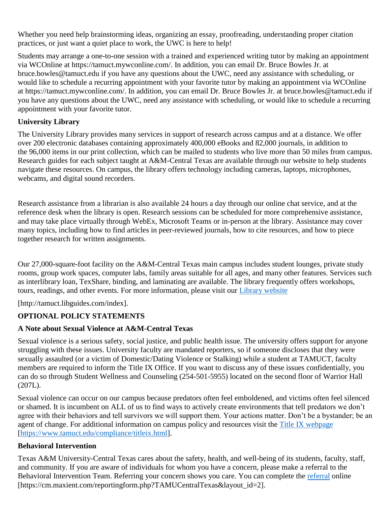Whether you need help brainstorming ideas, organizing an essay, proofreading, understanding proper citation practices, or just want a quiet place to work, the UWC is here to help!

Students may arrange a one-to-one session with a trained and experienced writing tutor by making an appointment via WCOnline at https://tamuct.mywconline.com/. In addition, you can email Dr. Bruce Bowles Jr. at bruce.bowles@tamuct.edu if you have any questions about the UWC, need any assistance with scheduling, or would like to schedule a recurring appointment with your favorite tutor by making an appointment via WCOnline at https://tamuct.mywconline.com/. In addition, you can email Dr. Bruce Bowles Jr. at bruce.bowles@tamuct.edu if you have any questions about the UWC, need any assistance with scheduling, or would like to schedule a recurring appointment with your favorite tutor.

# **University Library**

The University Library provides many services in support of research across campus and at a distance. We offer over 200 electronic databases containing approximately 400,000 eBooks and 82,000 journals, in addition to the 96,000 items in our print collection, which can be mailed to students who live more than 50 miles from campus. Research guides for each subject taught at A&M-Central Texas are available through our website to help students navigate these resources. On campus, the library offers technology including cameras, laptops, microphones, webcams, and digital sound recorders.

Research assistance from a librarian is also available 24 hours a day through our online chat service, and at the reference desk when the library is open. Research sessions can be scheduled for more comprehensive assistance, and may take place virtually through WebEx, Microsoft Teams or in-person at the library. Assistance may cover many topics, including how to find articles in peer-reviewed journals, how to cite resources, and how to piece together research for written assignments.

Our 27,000-square-foot facility on the A&M-Central Texas main campus includes student lounges, private study rooms, group work spaces, computer labs, family areas suitable for all ages, and many other features. Services such as interlibrary loan, TexShare, binding, and laminating are available. The library frequently offers workshops, tours, readings, and other events. For more information, please visit our [Library website](https://nam04.safelinks.protection.outlook.com/?url=https%3A%2F%2Ftamuct.libguides.com%2Findex&data=04%7C01%7Clisa.bunkowski%40tamuct.edu%7C7d8489e8839a4915335f08d916f067f2%7C9eed4e3000f744849ff193ad8005acec%7C0%7C0%7C637566044056484222%7CUnknown%7CTWFpbGZsb3d8eyJWIjoiMC4wLjAwMDAiLCJQIjoiV2luMzIiLCJBTiI6Ik1haWwiLCJXVCI6Mn0%3D%7C1000&sdata=2R755V6rcIyedGrd4Os5rkgn1PvhHKU3kUV1vBKiHFo%3D&reserved=0)

[http://tamuct.libguides.com/index].

# **OPTIONAL POLICY STATEMENTS**

# **A Note about Sexual Violence at A&M-Central Texas**

Sexual violence is a serious safety, social justice, and public health issue. The university offers support for anyone struggling with these issues. University faculty are mandated reporters, so if someone discloses that they were sexually assaulted (or a victim of Domestic/Dating Violence or Stalking) while a student at TAMUCT, faculty members are required to inform the Title IX Office. If you want to discuss any of these issues confidentially, you can do so through Student Wellness and Counseling (254-501-5955) located on the second floor of Warrior Hall (207L).

Sexual violence can occur on our campus because predators often feel emboldened, and victims often feel silenced or shamed. It is incumbent on ALL of us to find ways to actively create environments that tell predators we don't agree with their behaviors and tell survivors we will support them. Your actions matter. Don't be a bystander; be an agent of change. For additional information on campus policy and resources visit the [Title IX webpage](https://www.tamuct.edu/compliance/titleix.html) [\[https://www.tamuct.edu/compliance/titleix.html\]](https://www.tamuct.edu/compliance/titleix.html).

# **Behavioral Intervention**

Texas A&M University-Central Texas cares about the safety, health, and well-being of its students, faculty, staff, and community. If you are aware of individuals for whom you have a concern, please make a referral to the Behavioral Intervention Team. Referring your concern shows you care. You can complete the [referral](https://cm.maxient.com/reportingform.php?TAMUCentralTexas&layout_id=2) online [https://cm.maxient.com/reportingform.php?TAMUCentralTexas&layout\_id=2].